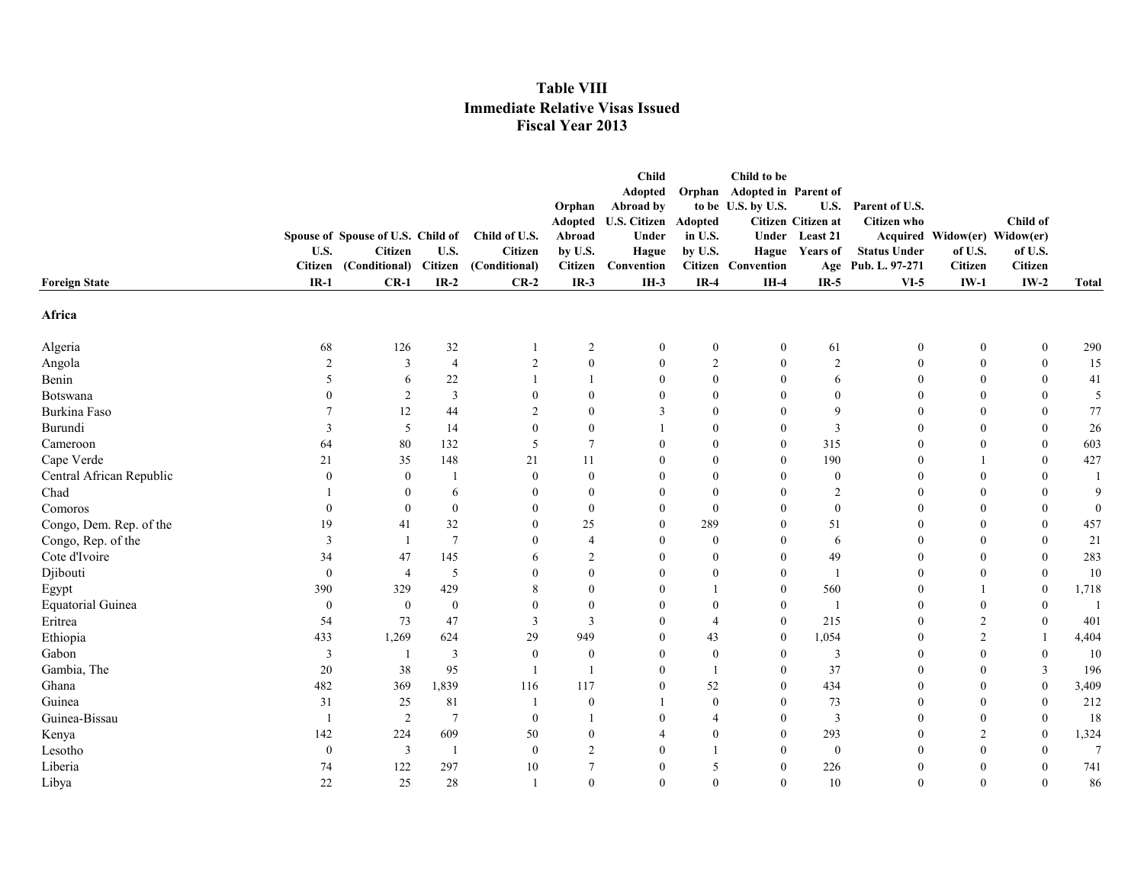|                                              |                                                     |                         |                                 | Orphan            | <b>Child</b><br>Adopted<br>Abroad by |                    | Child to be<br>Orphan Adopted in Parent of<br>to be U.S. by U.S. | <b>U.S.</b>                      | Parent of U.S.      |                                         |                  |                 |
|----------------------------------------------|-----------------------------------------------------|-------------------------|---------------------------------|-------------------|--------------------------------------|--------------------|------------------------------------------------------------------|----------------------------------|---------------------|-----------------------------------------|------------------|-----------------|
|                                              |                                                     |                         |                                 | Adopted           | <b>U.S. Citizen</b>                  | Adopted            |                                                                  | Citizen Citizen at               | <b>Citizen</b> who  |                                         | Child of         |                 |
| U.S.                                         | Spouse of Spouse of U.S. Child of<br><b>Citizen</b> | U.S.                    | Child of U.S.<br><b>Citizen</b> | Abroad<br>by U.S. | Under<br>Hague                       | in U.S.<br>by U.S. |                                                                  | Under Least 21<br>Hague Years of | <b>Status Under</b> | Acquired Widow(er) Widow(er)<br>of U.S. | of U.S.          |                 |
| <b>Citizen</b>                               | (Conditional) Citizen (Conditional)                 |                         |                                 | Citizen           | Convention                           |                    | <b>Citizen</b> Convention                                        |                                  | Age Pub. L. 97-271  | Citizen                                 | <b>Citizen</b>   |                 |
| $IR-1$<br><b>Foreign State</b>               | $CR-1$                                              | $IR-2$                  | $CR-2$                          | $IR-3$            | $IH-3$                               | $IR-4$             | $IH-4$                                                           | $IR-5$                           | $VI-5$              | $IW-1$                                  | $IW-2$           | <b>Total</b>    |
| Africa                                       |                                                     |                         |                                 |                   |                                      |                    |                                                                  |                                  |                     |                                         |                  |                 |
| 68<br>Algeria                                | 126                                                 | $32\,$                  | -1                              | $\overline{c}$    | $\boldsymbol{0}$                     | $\boldsymbol{0}$   | $\boldsymbol{0}$                                                 | 61                               | $\boldsymbol{0}$    | $\boldsymbol{0}$                        | $\boldsymbol{0}$ | 290             |
| Angola<br>$\overline{2}$                     | $\overline{3}$                                      | $\overline{4}$          | $\overline{2}$                  | $\mathbf{0}$      | $\mathbf{0}$                         | 2                  | $\mathbf{0}$                                                     | $\overline{2}$                   | $\boldsymbol{0}$    | $\mathbf{0}$                            | $\boldsymbol{0}$ | 15              |
| Benin<br>$\sim$                              | 6                                                   | $22\,$                  |                                 |                   | $\mathbf{0}$                         | $\boldsymbol{0}$   | $\mathbf{0}$                                                     | 6                                | $\boldsymbol{0}$    | $\mathbf{0}$                            | $\mathbf{0}$     | 41              |
| Botswana                                     | 2                                                   | $\overline{\mathbf{3}}$ | $\Omega$                        | $\theta$          | $\Omega$                             | $\overline{0}$     | $\overline{0}$                                                   | $\mathbf{0}$                     | $\Omega$            | $\theta$                                | $\Omega$         | 5               |
| Burkina Faso                                 | 12                                                  | 44                      | $\overline{2}$                  | $\theta$          | 3                                    | $\overline{0}$     | $\overline{0}$                                                   | 9                                | $\Omega$            | $\theta$                                | $\mathbf{0}$     | 77              |
| Burundi<br>3                                 | 5                                                   | 14                      | $\Omega$                        | $\mathbf{0}$      |                                      | $\overline{0}$     | $\overline{0}$                                                   | $\overline{3}$                   | $\theta$            | $\theta$                                | $\mathbf{0}$     | 26              |
| Cameroon<br>64                               | 80                                                  | 132                     | 5                               | $7\phantom{.0}$   | $\mathbf{0}$                         | $\overline{0}$     | $\overline{0}$                                                   | 315                              | $\mathbf{0}$        | $\mathbf{0}$                            | $\mathbf{0}$     | 603             |
| Cape Verde<br>21                             | 35                                                  | 148                     | 21                              | 11                | $\theta$                             | $\theta$           | $\overline{0}$                                                   | 190                              | $\theta$            |                                         | $\mathbf{0}$     | 427             |
| Central African Republic<br>$\theta$         | $\theta$                                            | -1                      | $\theta$                        | $\theta$          | $\theta$                             | $\overline{0}$     | $\overline{0}$                                                   | $\theta$                         | $\theta$            | $\theta$                                | $\mathbf{0}$     |                 |
| Chad                                         | $\Omega$                                            | 6                       | $\Omega$                        | $\theta$          | $\Omega$                             | $\mathbf{0}$       | $\mathbf{0}$                                                     | $\overline{2}$                   | $\Omega$            | $\theta$                                | $\theta$         | 9               |
| Comoros<br>$\Omega$                          | $\Omega$                                            | $\mathbf{0}$            | $\Omega$                        | $\theta$          | $\Omega$                             | $\mathbf{0}$       | $\overline{0}$                                                   | $\mathbf{0}$                     | $\Omega$            | $\Omega$                                | $\Omega$         | $\mathbf{0}$    |
| Congo, Dem. Rep. of the<br>19                | 41                                                  | 32                      | $\Omega$                        | 25                | $\Omega$                             | 289                | $\Omega$                                                         | 51                               | $\Omega$            | $\Omega$                                | $\mathbf{0}$     | 457             |
| Congo, Rep. of the<br>3                      | - 1                                                 | $7\phantom{.0}$         | $\Omega$                        | $\overline{4}$    | $\theta$                             | $\boldsymbol{0}$   | $\overline{0}$                                                   | 6                                | $\mathbf{0}$        | $\theta$                                | $\theta$         | 21              |
| Cote d'Ivoire<br>34                          | 47                                                  | 145                     | 6                               | $\overline{2}$    | $\Omega$                             | $\overline{0}$     | $\Omega$                                                         | 49                               | $\Omega$            | $\Omega$                                | $\theta$         | 283             |
| Djibouti<br>$\boldsymbol{0}$                 | $\overline{4}$                                      | 5                       |                                 | $\theta$          | $\Omega$                             | $\overline{0}$     | $\Omega$                                                         | $\mathbf{1}$                     | $\theta$            | $\theta$                                | $\mathbf{0}$     | 10              |
| 390<br>Egypt                                 | 329                                                 | 429                     |                                 | $\theta$          | $\Omega$                             |                    | $\mathbf{0}$                                                     | 560                              | $\theta$            | $\mathbf{1}$                            | $\mathbf{0}$     | 1,718           |
| <b>Equatorial Guinea</b><br>$\boldsymbol{0}$ | $\mathbf{0}$                                        | $\bf{0}$                | $\Omega$                        | $\theta$          | $\Omega$                             | $\mathbf{0}$       | $\overline{0}$                                                   | $\mathbf{1}$                     | $\theta$            | $\theta$                                | $\theta$         |                 |
| Eritrea<br>54                                | 73                                                  | 47                      | 3                               | 3                 | $\Omega$                             | 4                  | $\overline{0}$                                                   | 215                              | $\theta$            | 2                                       | $\mathbf{0}$     | 401             |
| Ethiopia<br>433                              | 1,269                                               | 624                     | 29                              | 949               | $\theta$                             | 43                 | $\overline{0}$                                                   | 1,054                            | $\theta$            | 2                                       | $\overline{1}$   | 4,404           |
| Gabon<br>3                                   |                                                     | $\overline{3}$          | $\mathbf{0}$                    | $\overline{0}$    | $\mathbf{0}$                         | $\boldsymbol{0}$   | $\boldsymbol{0}$                                                 | $\overline{3}$                   | $\mathbf{0}$        | $\mathbf{0}$                            | $\bf{0}$         | 10              |
| Gambia, The<br>20                            | 38                                                  | 95                      | -1                              | $\overline{1}$    | $\theta$                             | -1                 | $\boldsymbol{0}$                                                 | 37                               | $\theta$            | $\theta$                                | $\mathbf{3}$     | 196             |
| Ghana<br>482                                 | 369                                                 | 1,839                   | 116                             | 117               | $\mathbf{0}$                         | 52                 | $\overline{0}$                                                   | 434                              | $\theta$            | $\mathbf{0}$                            | $\boldsymbol{0}$ | 3,409           |
| 31<br>Guinea                                 | 25                                                  | 81                      |                                 | $\mathbf{0}$      |                                      | $\boldsymbol{0}$   | $\boldsymbol{0}$                                                 | 73                               | $\theta$            | $\mathbf{0}$                            | $\boldsymbol{0}$ | 212             |
| Guinea-Bissau                                | 2                                                   | $\overline{7}$          | $\mathbf{0}$                    |                   | $\theta$                             | $\overline{4}$     | $\boldsymbol{0}$                                                 | $\overline{3}$                   | $\theta$            | $\mathbf{0}$                            | $\boldsymbol{0}$ | 18              |
| Kenya<br>142                                 | 224                                                 | 609                     | 50                              | $\theta$          | 4                                    | $\boldsymbol{0}$   | $\overline{0}$                                                   | 293                              | $\theta$            | 2                                       | $\boldsymbol{0}$ | 1,324           |
| Lesotho<br>$\boldsymbol{0}$                  | 3                                                   | -1                      | $\mathbf{0}$                    | $\overline{2}$    | $\mathbf{0}$                         | -1                 | $\overline{0}$                                                   | $\boldsymbol{0}$                 | $\mathbf{0}$        | $\mathbf{0}$                            | $\mathbf{0}$     | $7\phantom{.0}$ |
| Liberia<br>74                                | 122                                                 | 297                     | 10                              | 7                 | $\mathbf{0}$                         | 5                  | $\overline{0}$                                                   | 226                              | $\mathbf{0}$        | $\mathbf{0}$                            | $\theta$         | 741             |
| Libya<br>22                                  | 25                                                  | 28                      | $\overline{1}$                  | $\theta$          | $\Omega$                             | $\overline{0}$     | $\overline{0}$                                                   | 10                               | $\Omega$            | $\theta$                                | $\mathbf{0}$     | 86              |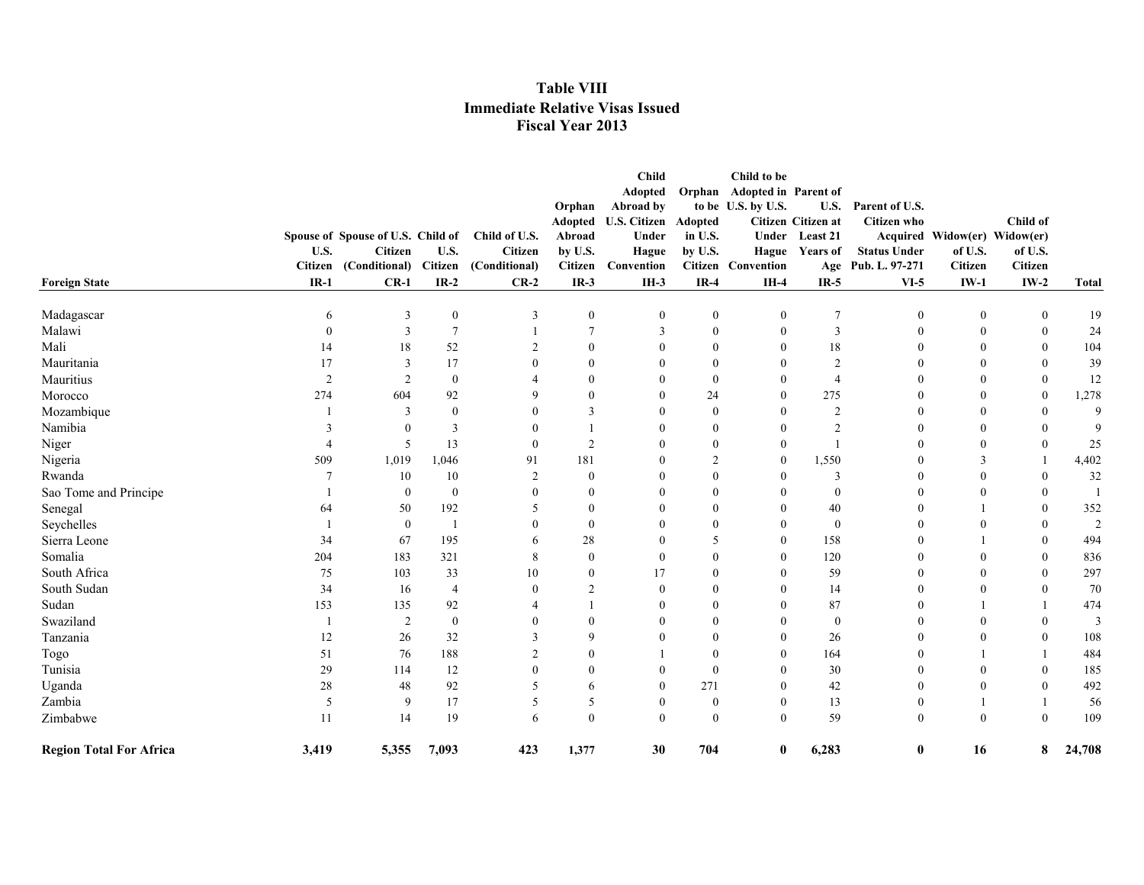|                                |                |                                   |                  |                |                  | <b>Child</b>        |                  | Child to be                 |                    |                     |                              |                |                |
|--------------------------------|----------------|-----------------------------------|------------------|----------------|------------------|---------------------|------------------|-----------------------------|--------------------|---------------------|------------------------------|----------------|----------------|
|                                |                |                                   |                  |                |                  | Adopted             |                  | Orphan Adopted in Parent of |                    |                     |                              |                |                |
|                                |                |                                   |                  |                | Orphan           | Abroad by           |                  | to be U.S. by U.S.          | U.S.               | Parent of U.S.      |                              |                |                |
|                                |                |                                   |                  |                | <b>Adopted</b>   | <b>U.S. Citizen</b> | Adopted          |                             | Citizen Citizen at | <b>Citizen</b> who  |                              | Child of       |                |
|                                |                | Spouse of Spouse of U.S. Child of |                  | Child of U.S.  | Abroad           | Under               | in U.S.          |                             | Under Least 21     |                     | Acquired Widow(er) Widow(er) |                |                |
|                                | U.S.           | Citizen                           | U.S.             | Citizen        | by U.S.          | Hague               | by U.S.          |                             | Hague Years of     | <b>Status Under</b> | of U.S.                      | of U.S.        |                |
|                                | Citizen        | (Conditional)                     | Citizen          | (Conditional)  | <b>Citizen</b>   | Convention          |                  | <b>Citizen</b> Convention   |                    | Age Pub. L. 97-271  | <b>Citizen</b>               | <b>Citizen</b> |                |
| <b>Foreign State</b>           | $IR-1$         | $CR-1$                            | $IR-2$           | $CR-2$         | $IR-3$           | $IH-3$              | $IR-4$           | $IH-4$                      | $IR-5$             | $VI-5$              | $IW-1$                       | $IW-2$         | <b>Total</b>   |
| Madagascar                     | 6              | 3                                 | $\boldsymbol{0}$ | 3              | $\boldsymbol{0}$ | $\mathbf{0}$        | $\boldsymbol{0}$ | $\boldsymbol{0}$            | $\overline{7}$     | $\bf{0}$            | $\mathbf{0}$                 | $\mathbf{0}$   | 19             |
| Malawi                         | $\Omega$       | 3                                 | $7\phantom{.0}$  |                | 7                | 3                   | $\overline{0}$   | $\overline{0}$              | 3                  | $\theta$            | $\mathbf{0}$                 | $\mathbf{0}$   | 24             |
| Mali                           | 14             | 18                                | 52               | $\mathfrak{D}$ | $\theta$         | 0                   | $\theta$         | $\Omega$                    | 18                 | $\theta$            | $\Omega$                     | $\theta$       | 104            |
| Mauritania                     | 17             | 3                                 | 17               |                | $\Omega$         |                     | 0                | $\Omega$                    | $\overline{2}$     |                     | 0                            | $\Omega$       | 39             |
| Mauritius                      | $\overline{2}$ | 2                                 | $\mathbf{0}$     |                | $\theta$         | $\Omega$            | $\Omega$         | $\Omega$                    | $\overline{4}$     | $\Omega$            | $\Omega$                     | $\theta$       | 12             |
| Morocco                        | 274            | 604                               | 92               | Q              | $\Omega$         | $\Omega$            | 24               | $\Omega$                    | 275                | $\theta$            | $\Omega$                     | $\theta$       | 1,278          |
| Mozambique                     |                | 3                                 | $\theta$         |                | 3                | $\Omega$            | 0                | $\Omega$                    | $\overline{2}$     | $\theta$            | $\Omega$                     | $\theta$       | $\mathbf Q$    |
| Namibia                        |                | $\theta$                          | $\overline{3}$   |                |                  | $\Omega$            | $\overline{0}$   | $\overline{0}$              | $\overline{2}$     | $\Omega$            | $\Omega$                     | $\Omega$       | $\mathbf Q$    |
| Niger                          |                | 5                                 | 13               | $\Omega$       | 2                |                     | 0                | $\overline{0}$              | $\mathbf{1}$       | $\Omega$            | $\Omega$                     | $\theta$       | 25             |
| Nigeria                        | 509            | 1,019                             | 1,046            | 91             | 181              | 0                   | $\overline{2}$   | $\overline{0}$              | 1,550              | $\Omega$            | 3                            |                | 4,402          |
| Rwanda                         | 7              | 10                                | 10               | 2              | $\Omega$         |                     | 0                | $\Omega$                    | 3                  | $\Omega$            | $\Omega$                     | $\Omega$       | 32             |
| Sao Tome and Principe          |                | $\mathbf{0}$                      | $\boldsymbol{0}$ |                | $\theta$         |                     | 0                | $\theta$                    | $\mathbf{0}$       | $\Omega$            | $\Omega$                     | $\theta$       |                |
| Senegal                        | 64             | 50                                | 192              | 5              | $\theta$         |                     | 0                | $\theta$                    | 40                 | $\Omega$            |                              | $\theta$       | 352            |
| Seychelles                     |                | $\boldsymbol{0}$                  | $\mathbf{1}$     |                | $\theta$         | $\theta$            | 0                | $\overline{0}$              | $\boldsymbol{0}$   |                     | $\Omega$                     | $\theta$       | $\overline{2}$ |
| Sierra Leone                   | 34             | 67                                | 195              | 6              | 28               | $\theta$            | 5                | $\overline{0}$              | 158                |                     |                              | $\mathbf{0}$   | 494            |
| Somalia                        | 204            | 183                               | 321              | 8              | $\theta$         | $\theta$            | 0                | $\overline{0}$              | 120                |                     | $\Omega$                     | $\mathbf{0}$   | 836            |
| South Africa                   | 75             | 103                               | 33               | 10             | $\theta$         | 17                  | 0                | $\Omega$                    | 59                 |                     | 0                            | $\theta$       | 297            |
| South Sudan                    | 34             | 16                                | $\overline{4}$   |                |                  | $\left($            |                  | $\Omega$                    | 14                 |                     | 0                            | $\mathbf{0}$   | 70             |
| Sudan                          | 153            | 135                               | 92               |                |                  | 0                   |                  |                             | 87                 |                     |                              |                | 474            |
| Swaziland                      |                | 2                                 | $\bf{0}$         |                | $\theta$         | 0                   | $^{(1)}$         | $\Omega$                    | $\boldsymbol{0}$   |                     | 0                            | $\theta$       | 3              |
| Tanzania                       | 12             | 26                                | 32               | 3              | $\mathbf Q$      |                     | 0                | $\Omega$                    | 26                 |                     | 0                            | $\mathbf{0}$   | 108            |
| Togo                           | 51             | 76                                | 188              |                | $\Omega$         |                     | $\Omega$         | $\Omega$                    | 164                |                     |                              |                | 484            |
| Tunisia                        | 29             | 114                               | 12               | $\Omega$       | $\theta$         | $\Omega$            | $\overline{0}$   | $\Omega$                    | 30                 | $\Omega$            | $\Omega$                     | $\mathbf{0}$   | 185            |
| Uganda                         | 28             | 48                                | 92               | 5              | 6                | 0                   | 271              | $\theta$                    | 42                 | $\Omega$            | $\Omega$                     | $\theta$       | 492            |
| Zambia                         | 5              | 9                                 | 17               | 5              | 5                | $\theta$            | $\overline{0}$   | $\overline{0}$              | 13                 | $\theta$            | 1                            |                | 56             |
| Zimbabwe                       | 11             | 14                                | 19               | 6              | $\mathbf{0}$     | $\theta$            | $\mathbf{0}$     | $\overline{0}$              | 59                 | $\mathbf{0}$        | $\theta$                     | $\mathbf{0}$   | 109            |
| <b>Region Total For Africa</b> | 3,419          | 5,355                             | 7,093            | 423            | 1,377            | 30                  | 704              | $\bf{0}$                    | 6,283              | $\bf{0}$            | 16                           | 8              | 24,708         |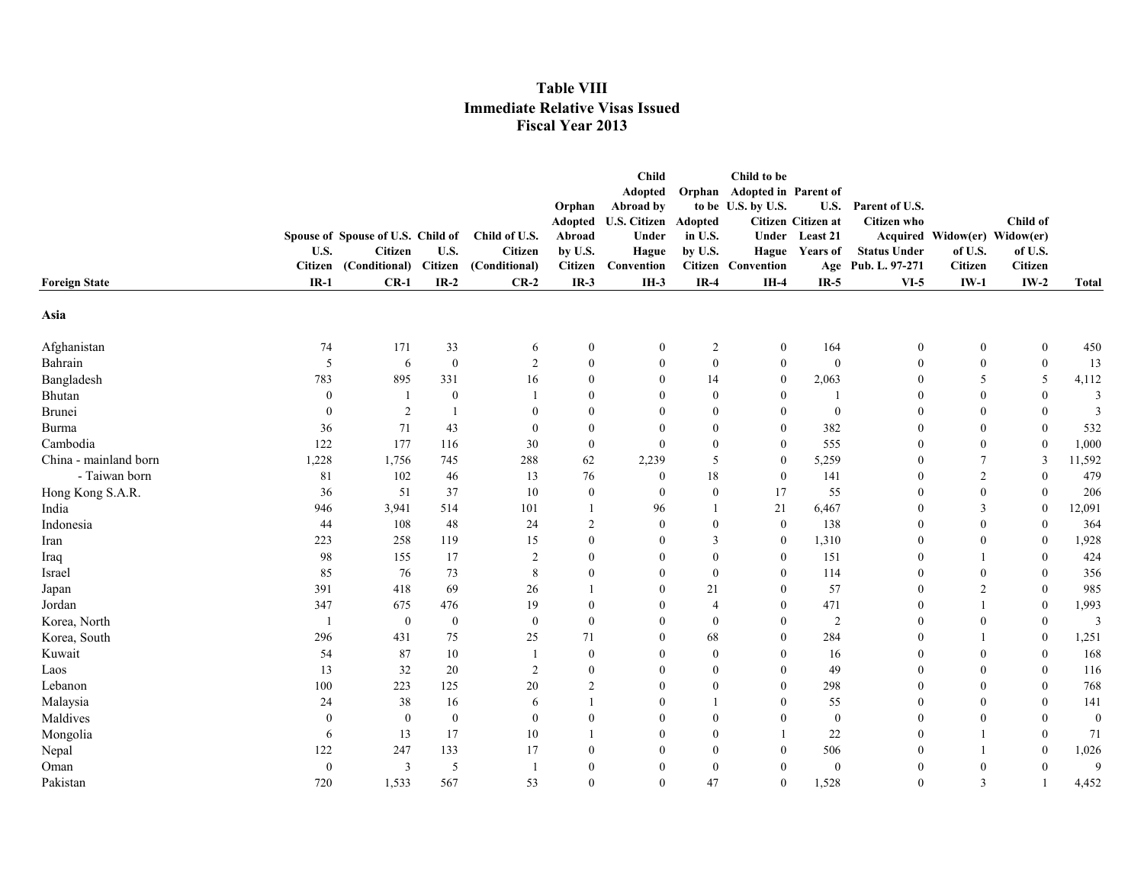|                       |                          |                                   |                  |                         | Orphan<br>Adopted | Child<br>Adopted<br>Abroad by<br><b>U.S. Citizen Adopted</b><br>Under |                  | Child to be<br>Orphan Adopted in Parent of<br>to be U.S. by U.S. | U.S.<br>Citizen Citizen at | Parent of U.S.<br><b>Citizen who</b> |                              | Child of                 |              |
|-----------------------|--------------------------|-----------------------------------|------------------|-------------------------|-------------------|-----------------------------------------------------------------------|------------------|------------------------------------------------------------------|----------------------------|--------------------------------------|------------------------------|--------------------------|--------------|
|                       |                          | Spouse of Spouse of U.S. Child of |                  | Child of U.S.           | Abroad            |                                                                       | in U.S.          |                                                                  | Under Least 21             |                                      | Acquired Widow(er) Widow(er) |                          |              |
|                       | U.S.                     | <b>Citizen</b>                    | U.S.             | <b>Citizen</b>          | by U.S.           | Hague                                                                 | by U.S.          |                                                                  | Hague Years of             | <b>Status Under</b>                  | of U.S.                      | of U.S.                  |              |
| <b>Foreign State</b>  | <b>Citizen</b><br>$IR-1$ | (Conditional) Citizen<br>$CR-1$   | $IR-2$           | (Conditional)<br>$CR-2$ | Citizen<br>$IR-3$ | Convention<br>$IH-3$                                                  | $IR-4$           | <b>Citizen</b> Convention<br>$IH-4$                              | $IR-5$                     | Age Pub. L. 97-271<br>$VI-5$         | <b>Citizen</b><br>$IW-1$     | <b>Citizen</b><br>$IW-2$ | <b>Total</b> |
|                       |                          |                                   |                  |                         |                   |                                                                       |                  |                                                                  |                            |                                      |                              |                          |              |
| Asia                  |                          |                                   |                  |                         |                   |                                                                       |                  |                                                                  |                            |                                      |                              |                          |              |
| Afghanistan           | 74                       | 171                               | 33               | 6                       | $\bf{0}$          | $\mathbf{0}$                                                          | 2                | $\bf{0}$                                                         | 164                        | $\boldsymbol{0}$                     | $\boldsymbol{0}$             | $\boldsymbol{0}$         | 450          |
| Bahrain               | 5                        | 6                                 | $\boldsymbol{0}$ | $\overline{2}$          | $\bf{0}$          | $\mathbf{0}$                                                          | $\boldsymbol{0}$ | $\boldsymbol{0}$                                                 | $\boldsymbol{0}$           | $\boldsymbol{0}$                     | $\mathbf{0}$                 | $\boldsymbol{0}$         | 13           |
| Bangladesh            | 783                      | 895                               | 331              | 16                      | $\bf{0}$          | $\theta$                                                              | 14               | $\bf{0}$                                                         | 2,063                      | $\boldsymbol{0}$                     | 5                            | 5                        | 4,112        |
| Bhutan                | $\theta$                 |                                   | $\boldsymbol{0}$ | $\overline{1}$          | $\overline{0}$    | $\Omega$                                                              | $\overline{0}$   | $\bf{0}$                                                         |                            | $\mathbf{0}$                         | $\mathbf{0}$                 | $\boldsymbol{0}$         | 3            |
| Brunei                | $\theta$                 | 2                                 | -1               | $\mathbf{0}$            | $\mathbf{0}$      | $\Omega$                                                              | $\overline{0}$   | $\mathbf{0}$                                                     | $\boldsymbol{0}$           | $\theta$                             | $\mathbf{0}$                 | $\boldsymbol{0}$         | 3            |
| Burma                 | 36                       | 71                                | 43               | $\mathbf{0}$            | $\mathbf{0}$      | $\theta$                                                              | $\overline{0}$   | $\bf{0}$                                                         | 382                        | $\theta$                             | $\mathbf{0}$                 | $\mathbf{0}$             | 532          |
| Cambodia              | 122                      | 177                               | 116              | 30                      | $\bf{0}$          | $\mathbf{0}$                                                          | $\overline{0}$   | $\overline{0}$                                                   | 555                        | $\theta$                             | $\mathbf{0}$                 | $\mathbf{0}$             | 1,000        |
| China - mainland born | 1,228                    | 1,756                             | 745              | 288                     | 62                | 2,239                                                                 | 5                | $\overline{0}$                                                   | 5,259                      | $\theta$                             | 7                            | $\mathbf{3}$             | 11,592       |
| - Taiwan born         | 81                       | 102                               | 46               | 13                      | 76                | $\mathbf{0}$                                                          | 18               | $\overline{0}$                                                   | 141                        | $\theta$                             | $\overline{2}$               | $\mathbf{0}$             | 479          |
| Hong Kong S.A.R.      | 36                       | 51                                | 37               | 10                      | $\mathbf{0}$      | $\mathbf{0}$                                                          | $\overline{0}$   | 17                                                               | 55                         | $\theta$                             | $\mathbf{0}$                 | $\mathbf{0}$             | 206          |
| India                 | 946                      | 3,941                             | 514              | 101                     | $\mathbf{1}$      | 96                                                                    |                  | 21                                                               | 6,467                      | $\Omega$                             | 3                            | $\theta$                 | 12,091       |
| Indonesia             | 44                       | 108                               | 48               | 24                      | $\overline{2}$    | $\theta$                                                              | $\Omega$         | $\overline{0}$                                                   | 138                        | $\theta$                             | $\theta$                     | $\mathbf{0}$             | 364          |
| Iran                  | 223                      | 258                               | 119              | 15                      | $\mathbf{0}$      | $\theta$                                                              | 3                | $\overline{0}$                                                   | 1,310                      | $\mathbf{0}$                         | $\mathbf{0}$                 | $\mathbf{0}$             | 1,928        |
| Iraq                  | 98                       | 155                               | 17               | 2                       | $\mathbf{0}$      | $\Omega$                                                              | $\Omega$         | $\mathbf{0}$                                                     | 151                        | $\theta$                             | -1                           | $\mathbf{0}$             | 424          |
| Israel                | 85                       | 76                                | 73               | 8                       | $\theta$          | $\Omega$                                                              | $\Omega$         | $\mathbf{0}$                                                     | 114                        | $\bf{0}$                             | $\theta$                     | $\mathbf{0}$             | 356          |
| Japan                 | 391                      | 418                               | 69               | 26                      |                   | $\Omega$                                                              | 21               | $\mathbf{0}$                                                     | 57                         | $\theta$                             | 2                            | $\mathbf{0}$             | 985          |
| Jordan                | 347                      | 675                               | 476              | 19                      | $\mathbf{0}$      | $\theta$                                                              | $\overline{4}$   | $\mathbf{0}$                                                     | 471                        | $\theta$                             |                              | $\mathbf{0}$             | 1,993        |
| Korea, North          | -1                       | $\overline{0}$                    | $\bf{0}$         | $\theta$                | $\mathbf{0}$      | $\Omega$                                                              | $\theta$         | $\overline{0}$                                                   | $\overline{2}$             | $\mathbf{0}$                         | $\theta$                     | $\mathbf{0}$             | 3            |
| Korea, South          | 296                      | 431                               | 75               | 25                      | 71                | $\theta$                                                              | 68               | $\overline{0}$                                                   | 284                        | $\theta$                             | $\mathbf{1}$                 | $\mathbf{0}$             | 1,251        |
| Kuwait                | 54                       | 87                                | 10               | -1                      | $\mathbf{0}$      | $\mathbf{0}$                                                          | $\overline{0}$   | $\mathbf{0}$                                                     | 16                         | $\bf{0}$                             | $\mathbf{0}$                 | $\mathbf{0}$             | 168          |
| Laos                  | 13                       | 32                                | 20               | 2                       | $\mathbf{0}$      | $\theta$                                                              | $\theta$         | $\overline{0}$                                                   | 49                         | $\bf{0}$                             | $\mathbf{0}$                 | $\boldsymbol{0}$         | 116          |
| Lebanon               | 100                      | 223                               | 125              | 20                      | $\overline{2}$    | $\theta$                                                              | $\overline{0}$   | $\overline{0}$                                                   | 298                        | $\theta$                             | $\mathbf{0}$                 | $\boldsymbol{0}$         | 768          |
| Malaysia              | 24                       | 38                                | 16               | 6                       |                   | $\theta$                                                              |                  | 0                                                                | 55                         | $\theta$                             | $\mathbf{0}$                 | $\boldsymbol{0}$         | 141          |
| Maldives              | $\theta$                 | $\mathbf{0}$                      | $\bf{0}$         | $\mathbf{0}$            | $\theta$          | $\theta$                                                              | $\overline{0}$   | $\boldsymbol{0}$                                                 | $\boldsymbol{0}$           | $\theta$                             | $\mathbf{0}$                 | $\boldsymbol{0}$         | $\mathbf{0}$ |
| Mongolia              | 6                        | 13                                | 17               | 10                      |                   | $\theta$                                                              | $\theta$         | 1                                                                | 22                         | $\theta$                             | $\mathbf{1}$                 | $\boldsymbol{0}$         | 71           |
| Nepal                 | 122                      | 247                               | 133              | 17                      | $\mathbf{0}$      | $\theta$                                                              | $\overline{0}$   | $\mathbf{0}$                                                     | 506                        | $\theta$                             | $\mathbf{1}$                 | $\mathbf{0}$             | 1,026        |
| Oman                  | $\theta$                 | 3                                 | 5                | - 1                     | $\mathbf{0}$      | $\theta$                                                              | $\overline{0}$   | $\mathbf{0}$                                                     | $\boldsymbol{0}$           | $\mathbf{0}$                         | $\mathbf{0}$                 | $\mathbf{0}$             | 9            |
| Pakistan              | 720                      | 1,533                             | 567              | 53                      | $\mathbf{0}$      | $\Omega$                                                              | 47               | $\mathbf{0}$                                                     | 1,528                      | $\theta$                             | 3                            |                          | 4,452        |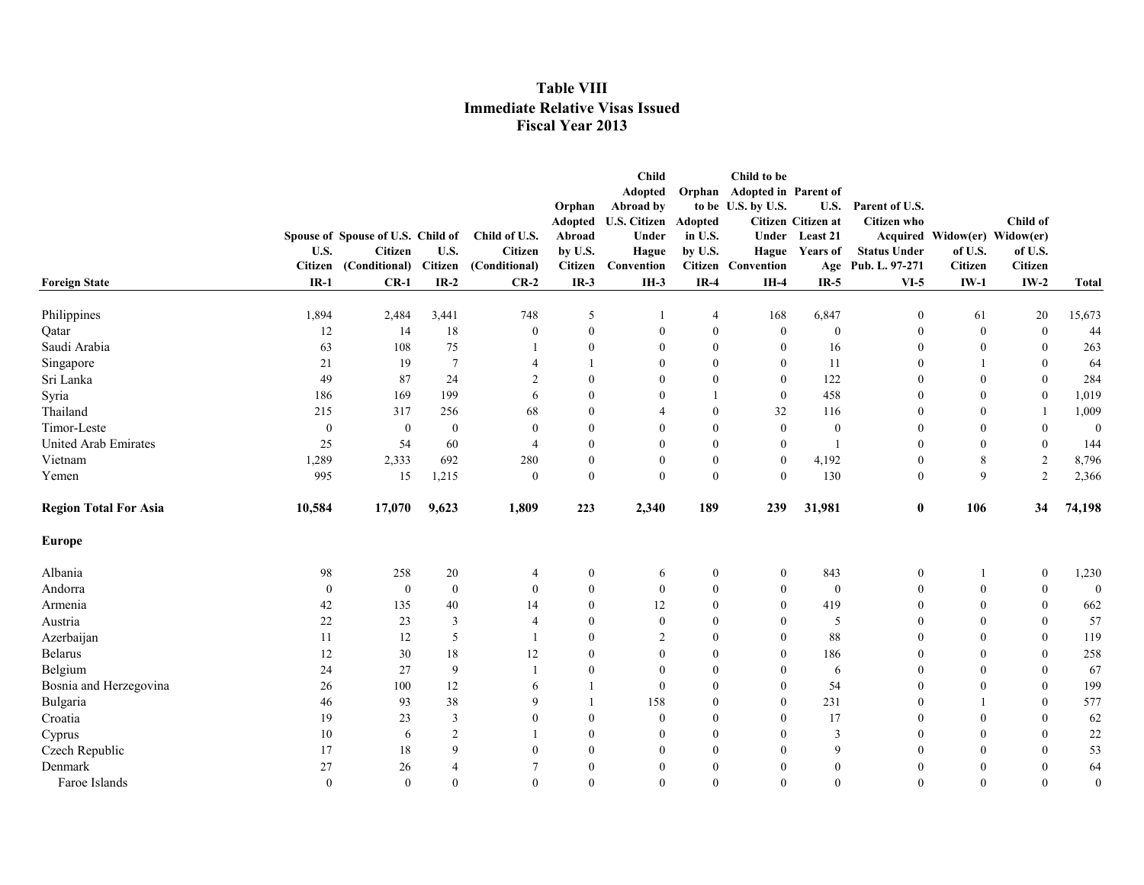|                              |                  |                                   |                  |                          |                  | <b>Child</b>         |                | Child to be                 |                    |                     |                              |                  |              |
|------------------------------|------------------|-----------------------------------|------------------|--------------------------|------------------|----------------------|----------------|-----------------------------|--------------------|---------------------|------------------------------|------------------|--------------|
|                              |                  |                                   |                  |                          |                  | Adopted              |                | Orphan Adopted in Parent of |                    |                     |                              |                  |              |
|                              |                  |                                   |                  |                          | Orphan           | Abroad by            |                | to be U.S. by U.S.          | <b>U.S.</b>        | Parent of U.S.      |                              |                  |              |
|                              |                  |                                   |                  |                          |                  | Adopted U.S. Citizen | Adopted        |                             | Citizen Citizen at | <b>Citizen</b> who  |                              | Child of         |              |
|                              |                  | Spouse of Spouse of U.S. Child of |                  | Child of U.S.            | Abroad           | Under                | in U.S.        |                             | Under Least 21     |                     | Acquired Widow(er) Widow(er) |                  |              |
|                              | U.S.             | Citizen                           | U.S.             | Citizen                  | by U.S.          | Hague                | by U.S.        |                             | Hague Years of     | <b>Status Under</b> | of U.S.                      | of U.S.          |              |
|                              | Citizen          | (Conditional)                     | Citizen          | (Conditional)            | Citizen          | Convention           |                | <b>Citizen</b> Convention   |                    | Age Pub. L. 97-271  | <b>Citizen</b>               | <b>Citizen</b>   |              |
| <b>Foreign State</b>         | $IR-1$           | $CR-1$                            | $IR-2$           | $CR-2$                   | $IR-3$           | $IH-3$               | $IR-4$         | $IH-4$                      | $IR-5$             | $VI-5$              | $IW-1$                       | $IW-2$           | <b>Total</b> |
| Philippines                  | 1,894            | 2,484                             | 3,441            | 748                      | 5                |                      | $\overline{4}$ | 168                         | 6,847              | $\mathbf{0}$        | 61                           | 20               | 15,673       |
| Qatar                        | 12               | 14                                | 18               | $\bf{0}$                 | $\mathbf{0}$     | $\theta$             | $\mathbf{0}$   | $\overline{0}$              | $\boldsymbol{0}$   | $\mathbf{0}$        | $\boldsymbol{0}$             | $\bf{0}$         | 44           |
| Saudi Arabia                 | 63               | 108                               | 75               | -1                       | $\overline{0}$   | $\Omega$             | $\mathbf{0}$   | $\bf{0}$                    | 16                 | $\boldsymbol{0}$    | $\mathbf{0}$                 | $\mathbf{0}$     | 263          |
| Singapore                    | 21               | 19                                | $7\phantom{.0}$  | $\overline{4}$           |                  | $\theta$             | $\mathbf{0}$   | $\overline{0}$              | 11                 | $\mathbf{0}$        | $\mathbf{1}$                 | $\boldsymbol{0}$ | 64           |
| Sri Lanka                    | 49               | 87                                | 24               | $\overline{c}$           | $\overline{0}$   | $\Omega$             | $\mathbf{0}$   | $\overline{0}$              | 122                | $\theta$            | $\mathbf{0}$                 | $\mathbf{0}$     | 284          |
| Syria                        | 186              | 169                               | 199              | 6                        | $\theta$         | $\Omega$             |                | $\bf{0}$                    | 458                | $\theta$            | $\mathbf{0}$                 | $\boldsymbol{0}$ | 1,019        |
| Thailand                     | 215              | 317                               | 256              | 68                       | $\mathbf{0}$     | 4                    | $\Omega$       | 32                          | 116                | $\boldsymbol{0}$    | $\mathbf{0}$                 | -1               | 1,009        |
| Timor-Leste                  | $\boldsymbol{0}$ | $\bf{0}$                          | $\boldsymbol{0}$ | $\mathbf{0}$             | $\mathbf{0}$     | $\theta$             | $\theta$       | $\mathbf{0}$                | $\boldsymbol{0}$   | $\overline{0}$      | $\mathbf{0}$                 | $\boldsymbol{0}$ | $\mathbf{0}$ |
| <b>United Arab Emirates</b>  | 25               | 54                                | 60               | $\overline{\mathcal{A}}$ | $\mathbf{0}$     | $\theta$             | $\theta$       | $\mathbf{0}$                | $\overline{1}$     | $\mathbf{0}$        | $\mathbf{0}$                 | $\boldsymbol{0}$ | 144          |
| Vietnam                      | 1,289            | 2,333                             | 692              | 280                      | $\mathbf{0}$     | $\theta$             | $\mathbf{0}$   | $\mathbf{0}$                | 4,192              | $\mathbf{0}$        | 8                            | $\sqrt{2}$       | 8,796        |
| Yemen                        | 995              | 15                                | 1,215            | $\mathbf{0}$             | $\overline{0}$   | $\theta$             | $\theta$       | $\overline{0}$              | 130                | $\mathbf{0}$        | 9                            | $\sqrt{2}$       | 2,366        |
| <b>Region Total For Asia</b> | 10,584           | 17,070                            | 9,623            | 1,809                    | 223              | 2,340                | 189            | 239                         | 31,981             | $\bf{0}$            | 106                          | 34               | 74,198       |
| Europe                       |                  |                                   |                  |                          |                  |                      |                |                             |                    |                     |                              |                  |              |
| Albania                      | 98               | 258                               | 20               | 4                        | $\bf{0}$         | 6                    | $\mathbf{0}$   | $\mathbf{0}$                | 843                | $\boldsymbol{0}$    | 1                            | $\bf{0}$         | 1,230        |
| Andorra                      | $\bf{0}$         | $\bf{0}$                          | $\boldsymbol{0}$ | $\mathbf{0}$             | $\mathbf{0}$     | $\mathbf{0}$         | $\mathbf{0}$   | $\mathbf{0}$                | $\boldsymbol{0}$   | $\boldsymbol{0}$    | $\boldsymbol{0}$             | $\bf{0}$         | $\mathbf{0}$ |
| Armenia                      | 42               | 135                               | 40               | 14                       | $\theta$         | 12                   | $\mathbf{0}$   | $\overline{0}$              | 419                | $\mathbf{0}$        | $\mathbf{0}$                 | $\mathbf{0}$     | 662          |
| Austria                      | 22               | 23                                | 3                | $\overline{4}$           | $\mathbf{0}$     | $\mathbf{0}$         | $\mathbf{0}$   | $\overline{0}$              | 5                  | $\mathbf{0}$        | $\mathbf{0}$                 | $\mathbf{0}$     | 57           |
| Azerbaijan                   | 11               | 12                                | 5                |                          | $\mathbf{0}$     | 2                    | $\mathbf{0}$   | $\boldsymbol{0}$            | 88                 | $\mathbf{0}$        | $\mathbf{0}$                 | $\mathbf{0}$     | 119          |
| Belarus                      | 12               | 30                                | 18               | 12                       | $\mathbf{0}$     | $\boldsymbol{0}$     | $\mathbf{0}$   | $\overline{0}$              | 186                | $\boldsymbol{0}$    | $\mathbf{0}$                 | $\boldsymbol{0}$ | 258          |
| Belgium                      | 24               | 27                                | 9                | $\overline{1}$           | $\boldsymbol{0}$ | $\mathbf{0}$         | $\theta$       | $\boldsymbol{0}$            | 6                  | $\mathbf{0}$        | $\mathbf{0}$                 | $\boldsymbol{0}$ | 67           |
| Bosnia and Herzegovina       | 26               | 100                               | 12               | 6                        |                  | $\Omega$             | $\theta$       | $\overline{0}$              | 54                 | $\theta$            | $\mathbf{0}$                 | $\mathbf{0}$     | 199          |
| Bulgaria                     | 46               | 93                                | 38               | 9                        |                  | 158                  | $\theta$       | $\boldsymbol{0}$            | 231                | $\theta$            | 1                            | $\mathbf{0}$     | 577          |
| Croatia                      | 19               | 23                                | $\overline{3}$   | $\mathbf{0}$             | $\mathbf{0}$     | $\theta$             | $\theta$       | $\boldsymbol{0}$            | 17                 | $\theta$            | $\mathbf{0}$                 | $\theta$         | 62           |
| Cyprus                       | 10               | 6                                 | $\overline{2}$   |                          | $\mathbf{0}$     | $\theta$             | $\theta$       | $\mathbf{0}$                | $\mathfrak{Z}$     | $\mathbf{0}$        | $\mathbf{0}$                 | $\mathbf{0}$     | 22           |
| Czech Republic               | 17               | 18                                | 9                | $\theta$                 | $\mathbf{0}$     | $\theta$             | $\theta$       | $\mathbf{0}$                | 9                  | $\theta$            | $\theta$                     | $\theta$         | 53           |
| Denmark                      | 27               | 26                                | $\overline{4}$   | 7                        | $\theta$         | $\theta$             | $\theta$       | $\mathbf{0}$                | $\mathbf{0}$       | $\mathbf{0}$        | $\theta$                     | $\theta$         | 64           |
| Faroe Islands                | $\theta$         | $\Omega$                          | $\theta$         | $\theta$                 | $\theta$         | $\Omega$             | $\Omega$       | $\theta$                    | $\theta$           | $\Omega$            | $\theta$                     | $\mathbf{0}$     | $\mathbf{0}$ |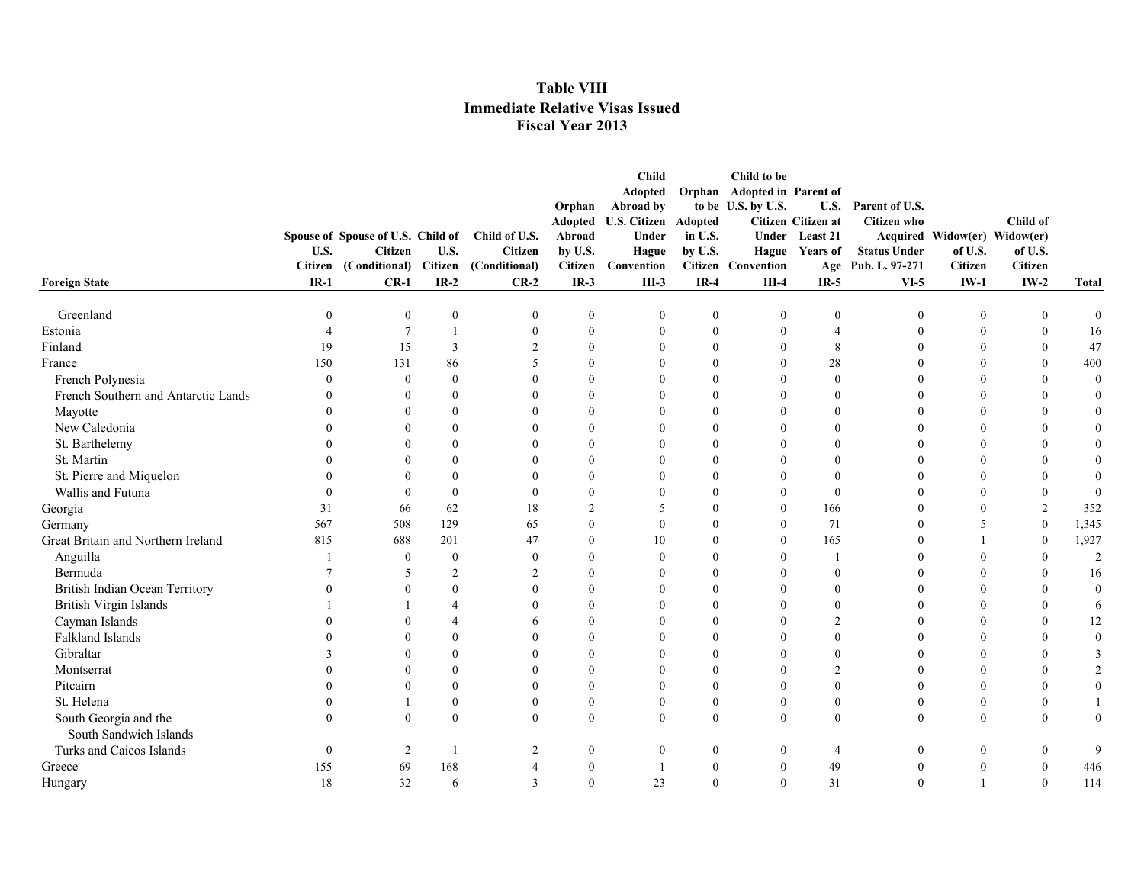|                                     |          |                                   |                          |                          |                | <b>Child</b><br>Adopted  | Orphan           | Child to be<br><b>Adopted in Parent of</b> |                    |                     |                              |                  |                  |
|-------------------------------------|----------|-----------------------------------|--------------------------|--------------------------|----------------|--------------------------|------------------|--------------------------------------------|--------------------|---------------------|------------------------------|------------------|------------------|
|                                     |          |                                   |                          |                          | Orphan         | Abroad by                |                  | to be U.S. by U.S.                         |                    | U.S. Parent of U.S. |                              |                  |                  |
|                                     |          |                                   |                          |                          | Adopted        | <b>U.S. Citizen</b>      | Adopted          |                                            | Citizen Citizen at | <b>Citizen</b> who  |                              | Child of         |                  |
|                                     |          | Spouse of Spouse of U.S. Child of |                          | Child of U.S.            | Abroad         | Under                    | in U.S.          |                                            | Under Least 21     |                     | Acquired Widow(er) Widow(er) |                  |                  |
|                                     | U.S.     | Citizen                           | U.S.                     | <b>Citizen</b>           | by U.S.        | Hague                    | by U.S.          |                                            | Hague Years of     | <b>Status Under</b> | of U.S.                      | of U.S.          |                  |
|                                     |          | Citizen (Conditional)             | Citizen                  | (Conditional)            | <b>Citizen</b> | Convention               |                  | <b>Citizen</b> Convention                  |                    | Age Pub. L. 97-271  | <b>Citizen</b>               | <b>Citizen</b>   |                  |
| <b>Foreign State</b>                | $IR-1$   | $CR-1$                            | $IR-2$                   | $CR-2$                   | $IR-3$         | $IH-3$                   | $IR-4$           | $IH-4$                                     | $IR-5$             | $VI-5$              | $IW-1$                       | $IW-2$           | <b>Total</b>     |
| Greenland                           | $\Omega$ | $\theta$                          | $\mathbf{0}$             | $\theta$                 | $\mathbf{0}$   | $\mathbf{0}$             | $\boldsymbol{0}$ | $\mathbf{0}$                               | $\theta$           | $\boldsymbol{0}$    | $\boldsymbol{0}$             | $\boldsymbol{0}$ | $\bf{0}$         |
| Estonia                             |          | $\tau$                            | $\mathbf{1}$             | $\mathbf{0}$             | $\mathbf{0}$   | $\mathbf{0}$             | $\overline{0}$   | $\boldsymbol{0}$                           | $\overline{4}$     | $\mathbf{0}$        | $\mathbf{0}$                 | $\mathbf{0}$     | 16               |
| Finland                             | 19       | 15                                | 3                        | 2                        | $\theta$       | $\Omega$                 | $\Omega$         | $\theta$                                   | 8                  | $\theta$            | $\Omega$                     | $\theta$         | 47               |
| France                              | 150      | 131                               | 86                       | $\overline{\phantom{1}}$ | $\theta$       | $\Omega$                 | $\Omega$         | $\theta$                                   | $28\,$             | $\Omega$            | $\Omega$                     | $\mathbf{0}$     | 400              |
| French Polynesia                    | $\Omega$ | $\theta$                          | $\mathbf{0}$             |                          | $\theta$       | $\theta$                 | $\overline{0}$   | $\mathbf{0}$                               | $\mathbf{0}$       | $\theta$            | $\Omega$                     | $\mathbf{0}$     | $\bf{0}$         |
| French Southern and Antarctic Lands |          | $\theta$                          | $\mathbf{0}$             |                          | $\theta$       | $\Omega$                 | $\theta$         | $\mathbf{0}$                               | $\theta$           | $\theta$            | $\Omega$                     | $\mathbf{0}$     | $\boldsymbol{0}$ |
| Mayotte                             |          |                                   | $\mathbf{0}$             |                          | $\theta$       | $\Omega$                 | $\theta$         | $\mathbf{0}$                               | $\overline{0}$     | $\theta$            | $\Omega$                     | $\mathbf{0}$     | $\boldsymbol{0}$ |
| New Caledonia                       |          | $\overline{0}$                    | $\mathbf{0}$             |                          | $\theta$       | $\theta$                 | $\theta$         | $\mathbf{0}$                               | $\theta$           | $\theta$            | $\theta$                     | $\boldsymbol{0}$ | $\boldsymbol{0}$ |
| St. Barthelemy                      |          | $\Omega$                          | $\theta$                 |                          | $\Omega$       | $\theta$                 | $\theta$         | $\theta$                                   | $\theta$           | $\theta$            | $\Omega$                     | $\Omega$         | $\mathbf{0}$     |
| St. Martin                          |          |                                   | $\Omega$                 |                          | $\Omega$       | $\Omega$                 | $\Omega$         | $\theta$                                   | $\mathbf{0}$       | $\Omega$            | $\Omega$                     | $\theta$         | $\mathbf{0}$     |
| St. Pierre and Miquelon             |          |                                   | $\Omega$                 |                          | $\Omega$       | $\Omega$                 | $\Omega$         | $\theta$                                   | $\mathbf{0}$       | $\Omega$            | $\Omega$                     | $\theta$         | $\mathbf{0}$     |
| Wallis and Futuna                   |          | $\Omega$                          | $\theta$                 |                          | $\theta$       | $\Omega$                 | $\overline{0}$   | $\mathbf{0}$                               | $\mathbf{0}$       | $\theta$            | $\Omega$                     | $\mathbf{0}$     | $\bf{0}$         |
| Georgia                             | 31       | 66                                | 62                       | 18                       | $\overline{2}$ | 5                        | $\mathbf{0}$     | $\mathbf{0}$                               | 166                | $\overline{0}$      | $\Omega$                     | $\overline{2}$   | 352              |
| Germany                             | 567      | 508                               | 129                      | 65                       | $\theta$       | $\theta$                 | $\mathbf{0}$     | $\mathbf{0}$                               | 71                 | $\boldsymbol{0}$    | 5                            | $\boldsymbol{0}$ | 1,345            |
| Great Britain and Northern Ireland  | 815      | 688                               | 201                      | 47                       | $\theta$       | 10                       | $\Omega$         | $\theta$                                   | 165                | $\theta$            |                              | $\mathbf{0}$     | 1,927            |
| Anguilla                            |          | $\mathbf{0}$                      | $\mathbf{0}$             | $\theta$                 | $\theta$       | $\theta$                 | $\Omega$         | $\theta$                                   |                    | $\theta$            | $\Omega$                     | $\mathbf{0}$     | 2                |
| Bermuda                             |          | .5                                | 2                        | 2                        | $\Omega$       | $\Omega$                 | $\Omega$         | $\theta$                                   | $\theta$           | $\theta$            | $\Omega$                     | $\theta$         | 16               |
| British Indian Ocean Territory      |          | $\Omega$                          | $\theta$                 | $\Omega$                 | $\theta$       | $\theta$                 | $\Omega$         | $\theta$                                   | $\mathbf{0}$       | $\theta$            | $\Omega$                     | $\theta$         | $\bf{0}$         |
| British Virgin Islands              |          |                                   | $\overline{\mathcal{A}}$ |                          | $\theta$       | $\theta$                 | $\mathbf{0}$     | $\mathbf{0}$                               | $\mathbf{0}$       | $\theta$            | $\theta$                     | $\mathbf{0}$     | 6                |
| Cayman Islands                      |          |                                   | $\overline{4}$           | 6                        | $\theta$       | $\theta$                 | $\overline{0}$   | $\mathbf{0}$                               | $\overline{c}$     | $\theta$            | $\Omega$                     | $\mathbf{0}$     | 12               |
| Falkland Islands                    |          |                                   | $\theta$                 |                          | $\theta$       | $\theta$                 | $\Omega$         | $\theta$                                   | $\mathbf{0}$       | $\theta$            | $\Omega$                     | $\theta$         | $\boldsymbol{0}$ |
| Gibraltar                           |          | $\Omega$                          | $\mathbf{0}$             |                          | $\theta$       | $\theta$                 | $\theta$         | $\theta$                                   | $\boldsymbol{0}$   | $\theta$            | $\Omega$                     | $\mathbf{0}$     | $\mathfrak{Z}$   |
| Montserrat                          |          | $\Omega$                          | $\mathbf{0}$             | $\Omega$                 | $\theta$       | $\mathbf{0}$             | $\overline{0}$   | $\mathbf{0}$                               | $\overline{2}$     | $\theta$            | $\Omega$                     | $\mathbf{0}$     | $\sqrt{2}$       |
| Pitcairn                            |          | $\Omega$                          | $\mathbf{0}$             | $\Omega$                 | $\theta$       | $\mathbf{0}$             | $\overline{0}$   | $\mathbf{0}$                               | $\mathbf{0}$       | $\theta$            | $\Omega$                     | $\mathbf{0}$     | $\boldsymbol{0}$ |
| St. Helena                          |          |                                   | $\mathbf{0}$             | $\Omega$                 | $\theta$       | $\mathbf{0}$             | $\overline{0}$   | $\boldsymbol{0}$                           | $\boldsymbol{0}$   | $\boldsymbol{0}$    | $\boldsymbol{0}$             | $\mathbf{0}$     | $\mathbf{1}$     |
| South Georgia and the               | $\Omega$ | $\theta$                          | $\mathbf{0}$             | $\theta$                 | $\theta$       | $\Omega$                 | $\overline{0}$   | $\mathbf{0}$                               | $\mathbf{0}$       | $\mathbf{0}$        | $\overline{0}$               | $\mathbf{0}$     | $\boldsymbol{0}$ |
| South Sandwich Islands              |          |                                   |                          |                          |                |                          |                  |                                            |                    |                     |                              |                  |                  |
| Turks and Caicos Islands            | $\Omega$ | 2                                 | -1                       | 2                        | $\theta$       | $\mathbf{0}$             | $\overline{0}$   | $\mathbf{0}$                               | $\overline{4}$     | $\boldsymbol{0}$    | $\overline{0}$               | $\mathbf{0}$     | 9                |
| Greece                              | 155      | 69                                | 168                      | $\overline{4}$           | $\theta$       | $\overline{\phantom{a}}$ | $\overline{0}$   | $\mathbf{0}$                               | 49                 | $\boldsymbol{0}$    | $\overline{0}$               | $\mathbf{0}$     | 446              |
| Hungary                             | 18       | 32                                | 6                        | $\mathbf{3}$             | $\theta$       | 23                       | $\Omega$         | $\theta$                                   | 31                 | $\theta$            |                              | $\mathbf{0}$     | 114              |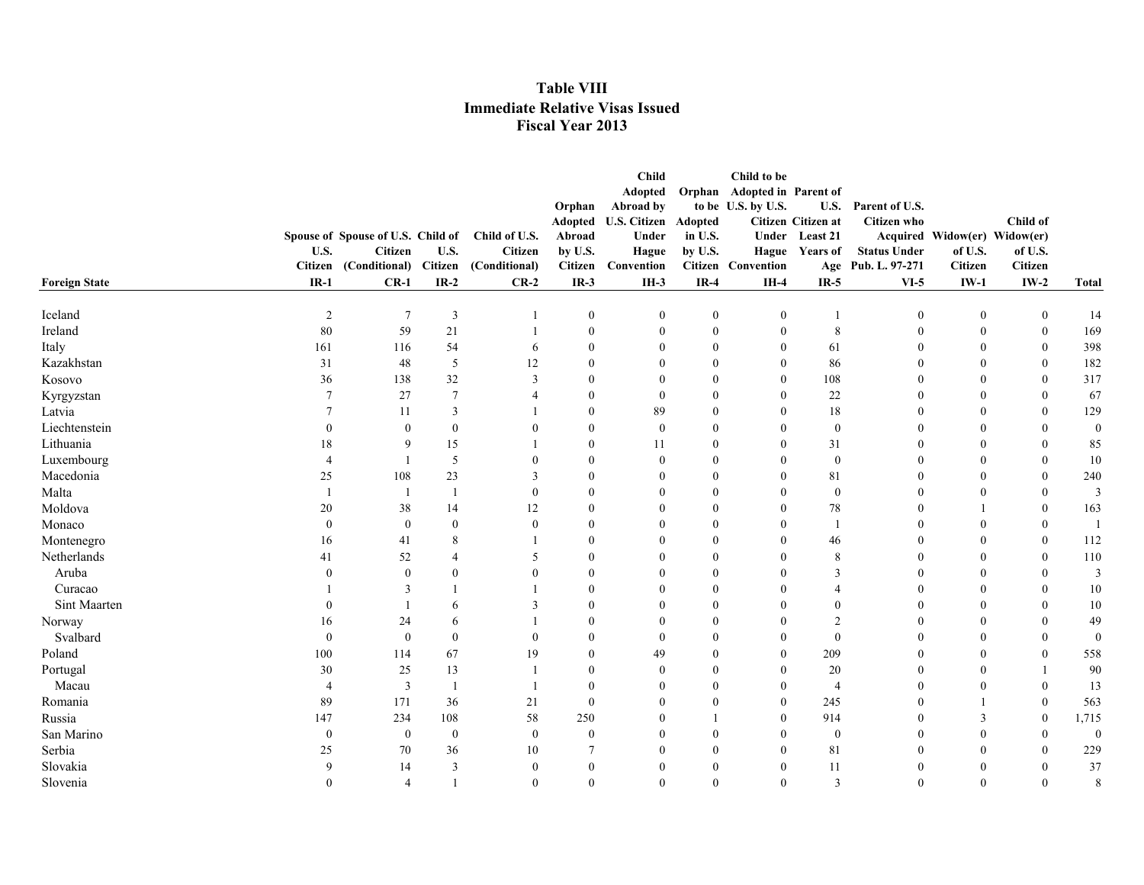|                                     | <b>Child</b><br>Child to be       |                         |                |                |                              |                  |                             |                    |                     |                              |                  |                  |  |
|-------------------------------------|-----------------------------------|-------------------------|----------------|----------------|------------------------------|------------------|-----------------------------|--------------------|---------------------|------------------------------|------------------|------------------|--|
|                                     |                                   |                         |                |                | Adopted                      |                  | Orphan Adopted in Parent of |                    |                     |                              |                  |                  |  |
|                                     |                                   |                         |                | Orphan         | Abroad by                    |                  | to be U.S. by U.S.          |                    | U.S. Parent of U.S. |                              |                  |                  |  |
|                                     |                                   |                         |                |                | Adopted U.S. Citizen Adopted |                  |                             | Citizen Citizen at | <b>Citizen</b> who  |                              | Child of         |                  |  |
|                                     | Spouse of Spouse of U.S. Child of |                         | Child of U.S.  | Abroad         | Under                        | in U.S.          |                             | Under Least 21     |                     | Acquired Widow(er) Widow(er) |                  |                  |  |
| U.S.                                | <b>Citizen</b>                    | U.S.                    | <b>Citizen</b> | by U.S.        | Hague                        | by U.S.          |                             | Hague Years of     | <b>Status Under</b> | of U.S.                      | of U.S.          |                  |  |
|                                     | Citizen (Conditional)             | <b>Citizen</b>          | (Conditional)  | <b>Citizen</b> | Convention                   |                  | <b>Citizen</b> Convention   |                    | Age Pub. L. 97-271  | <b>Citizen</b>               | <b>Citizen</b>   |                  |  |
| $IR-1$<br><b>Foreign State</b>      | $CR-1$                            | $IR-2$                  | $CR-2$         | $IR-3$         | $IH-3$                       | $IR-4$           | $IH-4$                      | $IR-5$             | $VI-5$              | $IW-1$                       | $IW-2$           | <b>Total</b>     |  |
| Iceland<br>$\overline{2}$           | $\overline{7}$                    | $\overline{\mathbf{3}}$ |                | $\bf{0}$       | $\mathbf{0}$                 | $\boldsymbol{0}$ | $\boldsymbol{0}$            |                    | $\boldsymbol{0}$    | $\boldsymbol{0}$             | $\boldsymbol{0}$ | 14               |  |
| Ireland<br>80                       | 59                                | 21                      | $\overline{1}$ | $\bf{0}$       | $\mathbf{0}$                 | $\overline{0}$   | $\boldsymbol{0}$            | $\,8\,$            | $\boldsymbol{0}$    | $\mathbf{0}$                 | $\boldsymbol{0}$ | 169              |  |
| Italy<br>161                        | 116                               | 54                      | 6              | $\theta$       | $\Omega$                     | $\Omega$         | $\mathbf{0}$                | 61                 | $\Omega$            | $\theta$                     | $\mathbf{0}$     | 398              |  |
| Kazakhstan<br>31                    | 48                                | 5                       | 12             | $\theta$       | $\Omega$                     | 0                | $\overline{0}$              | 86                 | $\Omega$            | $\theta$                     | $\mathbf{0}$     | 182              |  |
| Kosovo<br>36                        | 138                               | 32                      | 3              | $\mathbf{0}$   | $\left($                     | $\theta$         | $\overline{0}$              | 108                | $\Omega$            | $\mathbf{0}$                 | $\mathbf{0}$     | 317              |  |
| 7<br>Kyrgyzstan                     | 27                                | $7\phantom{.0}$         |                | $\theta$       | $\theta$                     | 0                | $\mathbf{0}$                | 22                 | $\theta$            | $\theta$                     | $\mathbf{0}$     | 67               |  |
| Latvia                              | 11                                | $\overline{\mathbf{3}}$ |                | $\theta$       | 89                           | $\theta$         | $\theta$                    | 18                 | $\mathbf{0}$        | $\theta$                     | $\boldsymbol{0}$ | 129              |  |
| Liechtenstein                       | $\theta$                          | $\boldsymbol{0}$        | $\theta$       | $\theta$       | $\mathbf{0}$                 | $\overline{0}$   | $\boldsymbol{0}$            | $\mathbf{0}$       | $\mathbf{0}$        | $\mathbf{0}$                 | $\theta$         | $\boldsymbol{0}$ |  |
| Lithuania<br>18                     | 9                                 | 15                      |                | $\theta$       | 11                           | $\overline{0}$   | $\overline{0}$              | 31                 | $\Omega$            | $\Omega$                     | $\theta$         | 85               |  |
| Luxembourg<br>$\boldsymbol{\Delta}$ |                                   | 5                       | $\Omega$       | $\theta$       | $\theta$                     | $\theta$         | $\Omega$                    | $\boldsymbol{0}$   | $\theta$            | $\theta$                     | $\theta$         | 10               |  |
| Macedonia<br>25                     | 108                               | 23                      | $\mathcal{R}$  | $\Omega$       | $\Omega$                     | $\Omega$         | $\Omega$                    | 81                 | $\theta$            | $\theta$                     | $\theta$         | 240              |  |
| Malta<br>$\mathbf{1}$               |                                   | $\overline{1}$          | $\Omega$       | $\Omega$       | $\theta$                     | $\Omega$         | $\overline{0}$              | $\boldsymbol{0}$   | $\theta$            | $\theta$                     | $\Omega$         | 3                |  |
| Moldova<br>20                       | 38                                | 14                      | 12             | $\theta$       | $\theta$                     | $\theta$         | $\overline{0}$              | 78                 | $\theta$            |                              | $\mathbf{0}$     | 163              |  |
| Monaco<br>$\mathbf{0}$              | $\mathbf{0}$                      | $\mathbf{0}$            | $\theta$       | $\theta$       | $\Omega$                     | $\Omega$         | $\Omega$                    |                    | $\boldsymbol{0}$    | $\theta$                     | $\mathbf{0}$     |                  |  |
| Montenegro<br>16                    | 41                                | 8                       |                | $\theta$       | $\Omega$                     | $\Omega$         | $\theta$                    | 46                 | $\theta$            | $\theta$                     | $\theta$         | 112              |  |
| Netherlands<br>41                   | 52                                | $\overline{A}$          | .5             | $\theta$       | $\Omega$                     | $\Omega$         | $\Omega$                    | 8                  | $\Omega$            | $\theta$                     | $\theta$         | 110              |  |
| Aruba                               | $\Omega$                          | $\Omega$                | $\Omega$       | $\theta$       | $\Omega$                     | $\theta$         | $\Omega$                    | 3                  | $\Omega$            | $\Omega$                     | $\Omega$         | $\overline{3}$   |  |
| Curacao                             | 3                                 |                         |                | $\theta$       | $\Omega$                     | $\Omega$         | $\Omega$                    | $\overline{4}$     | $\Omega$            | $\theta$                     | $\Omega$         | 10               |  |
| Sint Maarten                        |                                   | 6                       | 3              | $\theta$       | $\theta$                     | $\overline{0}$   | $\overline{0}$              | $\boldsymbol{0}$   | $\theta$            | $\mathbf{0}$                 | $\mathbf{0}$     | 10               |  |
| 16<br>Norway                        | 24                                | 6                       |                | $\Omega$       | $\left($                     | $\theta$         | $\overline{0}$              | $\overline{2}$     | $\theta$            | $\theta$                     | $\mathbf{0}$     | 49               |  |
| Svalbard<br>$\theta$                | $\theta$                          | $\theta$                | $\theta$       | $\theta$       | $\theta$                     | $\theta$         | $\overline{0}$              | $\mathbf{0}$       | $\theta$            | $\theta$                     | $\theta$         | $\theta$         |  |
| Poland<br>100                       | 114                               | 67                      | 19             | $\theta$       | 49                           | $\Omega$         | $\overline{0}$              | 209                | $\theta$            | $\theta$                     | $\boldsymbol{0}$ | 558              |  |
| 30<br>Portugal                      | 25                                | 13                      |                | $\theta$       | $\theta$                     | $\overline{0}$   | $\boldsymbol{0}$            | 20                 | $\theta$            | $\theta$                     |                  | 90               |  |
| Macau<br>$\overline{4}$             | 3                                 | $\mathbf{1}$            |                | $\theta$       | $\theta$                     | $\theta$         | $\boldsymbol{0}$            | $\overline{4}$     | $\theta$            | $\mathbf{0}$                 | $\theta$         | 13               |  |
| Romania<br>89                       | 171                               | 36                      | 21             | $\mathbf{0}$   | $\theta$                     | $\overline{0}$   | $\mathbf{0}$                | 245                | $\theta$            | $\mathbf{1}$                 | $\boldsymbol{0}$ | 563              |  |
| Russia<br>147                       | 234                               | 108                     | 58             | 250            | $\theta$                     |                  | $\overline{0}$              | 914                | $\boldsymbol{0}$    | 3                            | $\boldsymbol{0}$ | 1,715            |  |
| San Marino<br>$\mathbf{0}$          | $\overline{0}$                    | $\bf{0}$                | $\mathbf{0}$   | $\mathbf{0}$   | $\theta$                     | $\overline{0}$   | $\mathbf{0}$                | $\boldsymbol{0}$   | $\theta$            | $\mathbf{0}$                 | $\mathbf{0}$     | $\mathbf{0}$     |  |
| Serbia<br>25                        | 70                                | 36                      | 10             | 7              | $\theta$                     | $\Omega$         | $\Omega$                    | 81                 | $\mathbf{0}$        | $\Omega$                     | $\theta$         | 229              |  |
| Slovakia<br>$\mathbf Q$             | 14                                | $\overline{3}$          | $\theta$       | $\mathbf{0}$   | $\Omega$                     | $\Omega$         | $\theta$                    | 11                 | $\bf{0}$            | $\theta$                     | $\mathbf{0}$     | 37               |  |
| Slovenia<br>$\Omega$                | $\overline{4}$                    |                         | $\theta$       | $\theta$       | $\theta$                     | $\Omega$         | $\mathbf{0}$                | $\overline{3}$     | $\theta$            | $\theta$                     | $\mathbf{0}$     | 8                |  |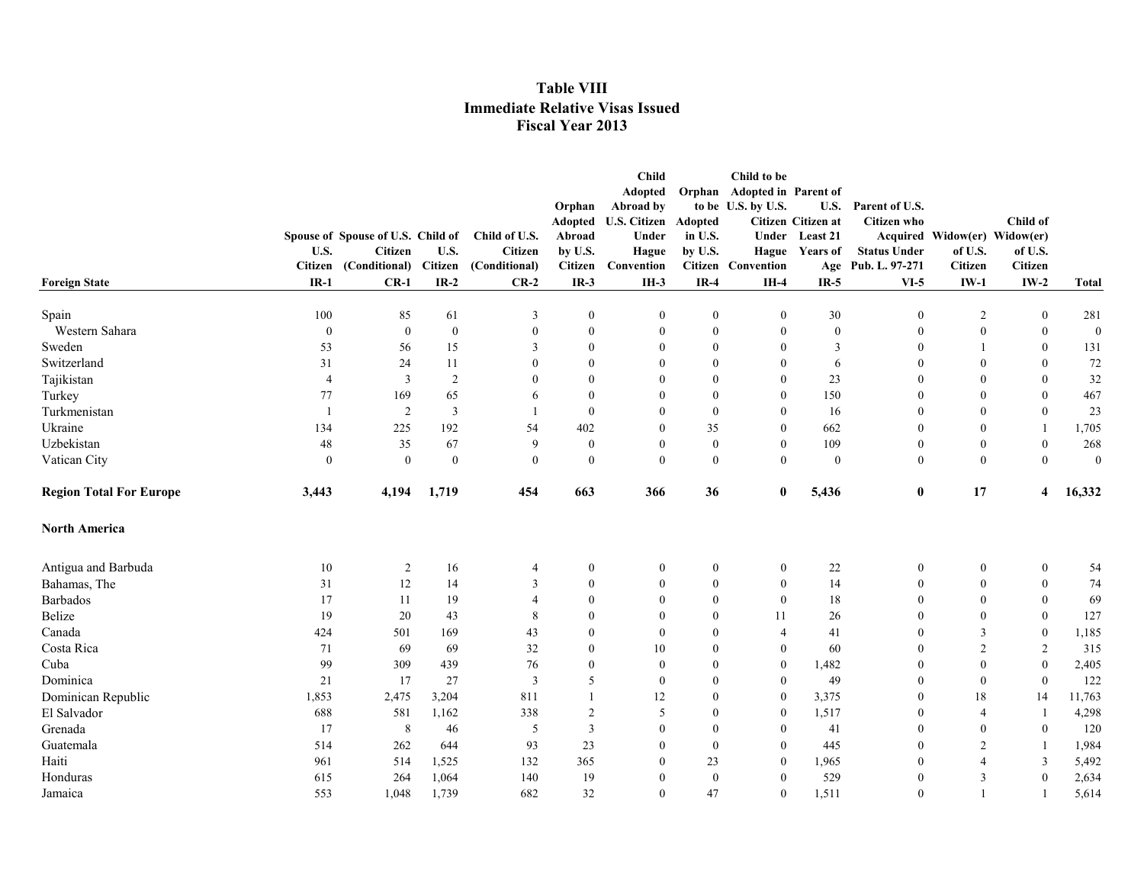|                                | U.S.                     | Spouse of Spouse of U.S. Child of<br><b>Citizen</b> | U.S.                     | Child of U.S.<br><b>Citizen</b><br>(Conditional)<br>$CR-2$ | Orphan<br><b>Adopted</b><br>Abroad<br>by U.S.<br>Citizen | <b>Child</b><br>Adopted<br>Abroad by<br><b>U.S. Citizen</b><br>Under<br>Hague<br>Convention | Adopted<br>in U.S.<br>by U.S.    | Child to be<br>Orphan Adopted in Parent of<br>to be U.S. by U.S. | <b>U.S.</b><br>Citizen Citizen at<br>Under Least 21<br>Hague Years of | Parent of U.S.<br><b>Citizen</b> who<br><b>Status Under</b> | Acquired Widow(er) Widow(er)<br>of U.S. | Child of<br>of U.S.<br>Citizen       |                     |
|--------------------------------|--------------------------|-----------------------------------------------------|--------------------------|------------------------------------------------------------|----------------------------------------------------------|---------------------------------------------------------------------------------------------|----------------------------------|------------------------------------------------------------------|-----------------------------------------------------------------------|-------------------------------------------------------------|-----------------------------------------|--------------------------------------|---------------------|
| <b>Foreign State</b>           | <b>Citizen</b><br>$IR-1$ | (Conditional)<br>$CR-1$                             | <b>Citizen</b><br>$IR-2$ |                                                            | $IR-3$                                                   | $IH-3$                                                                                      | $IR-4$                           | <b>Citizen</b> Convention<br>$IH-4$                              | $IR-5$                                                                | Age Pub. L. 97-271<br>$VI-5$                                | <b>Citizen</b><br>$IW-1$                | $IW-2$                               | <b>Total</b>        |
|                                |                          |                                                     |                          |                                                            |                                                          |                                                                                             |                                  |                                                                  |                                                                       |                                                             |                                         |                                      |                     |
| Spain<br>Western Sahara        | 100<br>$\boldsymbol{0}$  | 85<br>$\mathbf{0}$                                  | 61<br>$\mathbf{0}$       | 3<br>$\mathbf{0}$                                          | $\bf{0}$<br>$\mathbf{0}$                                 | $\mathbf{0}$<br>$\mathbf{0}$                                                                | $\boldsymbol{0}$<br>$\mathbf{0}$ | $\boldsymbol{0}$<br>$\mathbf{0}$                                 | 30<br>$\boldsymbol{0}$                                                | $\overline{0}$<br>$\theta$                                  | $\overline{2}$<br>$\mathbf{0}$          | $\boldsymbol{0}$<br>$\boldsymbol{0}$ | 281<br>$\mathbf{0}$ |
| Sweden                         | 53                       | 56                                                  | 15                       | 3                                                          | $\mathbf{0}$                                             | $\theta$                                                                                    | $\boldsymbol{0}$                 | $\boldsymbol{0}$                                                 | 3                                                                     | $\overline{0}$                                              |                                         | $\boldsymbol{0}$                     | 131                 |
| Switzerland                    | 31                       | 24                                                  | 11                       | $\theta$                                                   | $\theta$                                                 | $\Omega$                                                                                    | $\mathbf{0}$                     | $\mathbf{0}$                                                     | 6                                                                     | $\theta$                                                    | $\Omega$                                | $\mathbf{0}$                         | 72                  |
| Tajikistan                     | $\overline{4}$           | $\overline{3}$                                      | $\overline{2}$           | $\Omega$                                                   | $\theta$                                                 | $\Omega$                                                                                    | $\overline{0}$                   | $\theta$                                                         | 23                                                                    | $\theta$                                                    | $\Omega$                                | $\mathbf{0}$                         | 32                  |
| Turkey                         | 77                       | 169                                                 | 65                       | 6                                                          | $\mathbf{0}$                                             | $\Omega$                                                                                    | $\overline{0}$                   | $\mathbf{0}$                                                     | 150                                                                   | $\mathbf{0}$                                                | $\Omega$                                | $\boldsymbol{0}$                     | 467                 |
| Turkmenistan                   | $\mathbf{1}$             | $\overline{2}$                                      | $\overline{\mathbf{3}}$  |                                                            | $\mathbf{0}$                                             | $\Omega$                                                                                    | $\mathbf{0}$                     | $\mathbf{0}$                                                     | 16                                                                    | $\theta$                                                    | $\Omega$                                | $\boldsymbol{0}$                     | 23                  |
| Ukraine                        | 134                      | 225                                                 | 192                      | 54                                                         | 402                                                      | $\Omega$                                                                                    | 35                               | $\mathbf{0}$                                                     | 662                                                                   | $\mathbf{0}$                                                | $\mathbf{0}$                            |                                      | 1,705               |
| Uzbekistan                     | 48                       | 35                                                  | 67                       | 9                                                          | $\bf{0}$                                                 | $\mathbf{0}$                                                                                | $\bf{0}$                         | $\boldsymbol{0}$                                                 | 109                                                                   | $\boldsymbol{0}$                                            | $\boldsymbol{0}$                        | $\boldsymbol{0}$                     | 268                 |
| Vatican City                   | $\boldsymbol{0}$         | $\theta$                                            | $\boldsymbol{0}$         | $\mathbf{0}$                                               | $\mathbf{0}$                                             | $\mathbf{0}$                                                                                | $\mathbf{0}$                     | $\overline{0}$                                                   | $\theta$                                                              | $\boldsymbol{0}$                                            | $\mathbf{0}$                            | $\mathbf{0}$                         | $\boldsymbol{0}$    |
| <b>Region Total For Europe</b> | 3,443                    | 4,194                                               | 1,719                    | 454                                                        | 663                                                      | 366                                                                                         | 36                               | $\bf{0}$                                                         | 5,436                                                                 | $\bf{0}$                                                    | 17                                      | $\overline{\bf 4}$                   | 16,332              |
| <b>North America</b>           |                          |                                                     |                          |                                                            |                                                          |                                                                                             |                                  |                                                                  |                                                                       |                                                             |                                         |                                      |                     |
| Antigua and Barbuda            | 10                       | $\overline{2}$                                      | 16                       | 4                                                          | $\boldsymbol{0}$                                         | $\mathbf{0}$                                                                                | $\boldsymbol{0}$                 | $\boldsymbol{0}$                                                 | 22                                                                    | $\boldsymbol{0}$                                            | $\mathbf{0}$                            | $\boldsymbol{0}$                     | 54                  |
| Bahamas, The                   | 31                       | 12                                                  | 14                       | 3                                                          | $\boldsymbol{0}$                                         | $\theta$                                                                                    | $\boldsymbol{0}$                 | $\boldsymbol{0}$                                                 | 14                                                                    | $\mathbf{0}$                                                | $\boldsymbol{0}$                        | $\boldsymbol{0}$                     | 74                  |
| <b>Barbados</b>                | 17                       | 11                                                  | 19                       | $\overline{4}$                                             | $\mathbf{0}$                                             | $\mathbf{0}$                                                                                | $\mathbf{0}$                     | $\mathbf{0}$                                                     | 18                                                                    | $\theta$                                                    | $\mathbf{0}$                            | $\boldsymbol{0}$                     | 69                  |
| Belize                         | 19                       | 20                                                  | 43                       | 8                                                          | $\theta$                                                 | $\theta$                                                                                    | $\overline{0}$                   | 11                                                               | 26                                                                    | $\theta$                                                    | $\Omega$                                | $\boldsymbol{0}$                     | 127                 |
| Canada                         | 424                      | 501                                                 | 169                      | 43                                                         | $\mathbf{0}$                                             | $\mathbf{0}$                                                                                | $\overline{0}$                   | $\overline{4}$                                                   | 41                                                                    | $\mathbf{0}$                                                | 3                                       | $\boldsymbol{0}$                     | 1,185               |
| Costa Rica                     | 71                       | 69                                                  | 69                       | 32                                                         | $\mathbf{0}$                                             | 10                                                                                          | $\overline{0}$                   | $\mathbf{0}$                                                     | 60                                                                    | $\theta$                                                    | $\overline{2}$                          | $\overline{2}$                       | 315                 |
| Cuba                           | 99                       | 309                                                 | 439                      | 76                                                         | $\theta$                                                 | $\theta$                                                                                    | $\overline{0}$                   | $\mathbf{0}$                                                     | 1,482                                                                 | $\theta$                                                    | $\theta$                                | $\mathbf{0}$                         | 2,405               |
| Dominica                       | 21                       | 17                                                  | 27                       | 3                                                          | 5                                                        | $\mathbf{0}$                                                                                | $\overline{0}$                   | $\boldsymbol{0}$                                                 | 49                                                                    | $\mathbf{0}$                                                | $\boldsymbol{0}$                        | $\boldsymbol{0}$                     | 122                 |
| Dominican Republic             | 1,853                    | 2,475                                               | 3,204                    | 811                                                        | $\mathbf{1}$                                             | 12                                                                                          | $\boldsymbol{0}$                 | $\boldsymbol{0}$                                                 | 3,375                                                                 | $\overline{0}$                                              | 18                                      | 14                                   | 11,763              |
| El Salvador                    | 688                      | 581                                                 | 1,162                    | 338                                                        | $\overline{c}$                                           | 5                                                                                           | 0                                | $\bf{0}$                                                         | 1,517                                                                 | $\boldsymbol{0}$                                            | $\overline{4}$                          | -1                                   | 4,298               |
| Grenada                        | 17                       | 8                                                   | 46                       | 5                                                          | $\overline{3}$                                           | $\mathbf{0}$                                                                                | $\boldsymbol{0}$                 | $\boldsymbol{0}$                                                 | 41                                                                    | $\mathbf{0}$                                                | $\boldsymbol{0}$                        | $\boldsymbol{0}$                     | 120                 |
| Guatemala                      | 514                      | 262                                                 | 644                      | 93                                                         | 23                                                       | $\theta$                                                                                    | $\boldsymbol{0}$                 | $\boldsymbol{0}$                                                 | 445                                                                   | $\theta$                                                    | $\overline{2}$                          |                                      | 1,984               |
| Haiti                          | 961                      | 514                                                 | 1,525                    | 132                                                        | 365                                                      | $\mathbf{0}$                                                                                | 23                               | $\mathbf{0}$                                                     | 1,965                                                                 | $\theta$                                                    | $\overline{4}$                          | $\overline{3}$                       | 5,492               |
| Honduras                       | 615                      | 264                                                 | 1,064                    | 140                                                        | 19                                                       | $\mathbf{0}$                                                                                | $\mathbf{0}$                     | $\theta$                                                         | 529                                                                   | $\theta$                                                    | 3                                       | $\mathbf{0}$                         | 2,634               |
| Jamaica                        | 553                      | 1,048                                               | 1,739                    | 682                                                        | 32                                                       | $\mathbf{0}$                                                                                | 47                               | $\mathbf{0}$                                                     | 1,511                                                                 | $\overline{0}$                                              |                                         |                                      | 5,614               |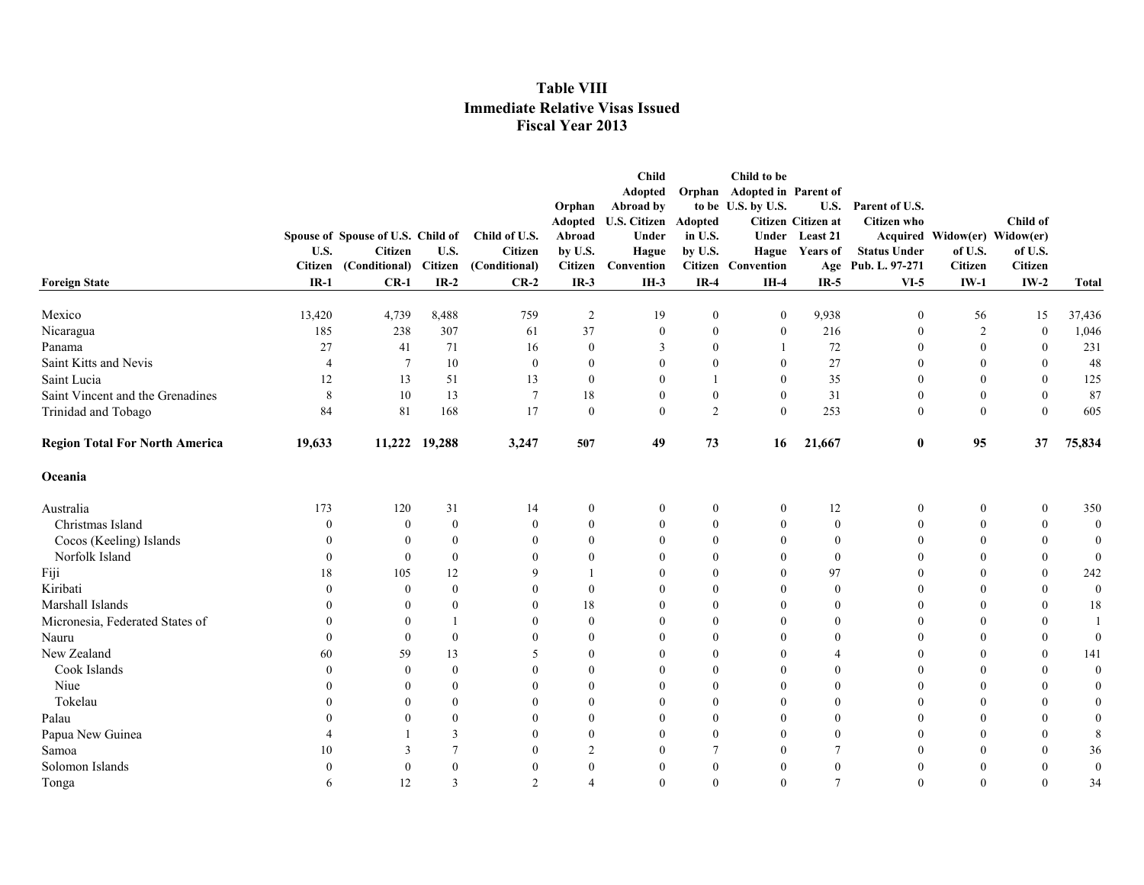|                                       |                |                                   |                  |                |                          | <b>Child</b>        |                  | Child to be          |                    |                     |                              |                  |                  |
|---------------------------------------|----------------|-----------------------------------|------------------|----------------|--------------------------|---------------------|------------------|----------------------|--------------------|---------------------|------------------------------|------------------|------------------|
|                                       |                |                                   |                  |                |                          | <b>Adopted</b>      | Orphan           | Adopted in Parent of |                    |                     |                              |                  |                  |
|                                       |                |                                   |                  |                | Orphan                   | Abroad by           |                  | to be U.S. by U.S.   | U.S.               | Parent of U.S.      |                              |                  |                  |
|                                       |                |                                   |                  |                | Adopted                  | <b>U.S. Citizen</b> | Adopted          |                      | Citizen Citizen at | <b>Citizen</b> who  |                              | Child of         |                  |
|                                       |                | Spouse of Spouse of U.S. Child of |                  | Child of U.S.  | Abroad                   | Under               | in U.S.          |                      | Under Least 21     |                     | Acquired Widow(er) Widow(er) |                  |                  |
|                                       | U.S.           | Citizen                           | U.S.             | Citizen        | by U.S.                  | Hague               | by U.S.          |                      | Hague Years of     | <b>Status Under</b> | of U.S.                      | of U.S.          |                  |
|                                       |                | Citizen (Conditional)             | Citizen          | (Conditional)  | Citizen                  | Convention          |                  | Citizen Convention   |                    | Age Pub. L. 97-271  | <b>Citizen</b>               | <b>Citizen</b>   |                  |
| <b>Foreign State</b>                  | $IR-1$         | $CR-1$                            | $IR-2$           | $CR-2$         | $IR-3$                   | $IH-3$              | $IR-4$           | $IH-4$               | $IR-5$             | $VI-5$              | $IW-1$                       | $IW-2$           | <b>Total</b>     |
| Mexico                                | 13,420         | 4,739                             | 8,488            | 759            | 2                        | 19                  | $\mathbf{0}$     | $\mathbf{0}$         | 9,938              | $\mathbf{0}$        | 56                           | 15               | 37,436           |
| Nicaragua                             | 185            | 238                               | 307              | 61             | 37                       | $\theta$            | $\mathbf{0}$     | $\mathbf{0}$         | 216                | $\theta$            | $\overline{2}$               | $\boldsymbol{0}$ | 1,046            |
| Panama                                | 27             | 41                                | 71               | 16             | $\mathbf{0}$             | 3                   | $\mathbf{0}$     | -1                   | 72                 | $\mathbf{0}$        | $\mathbf{0}$                 | $\mathbf{0}$     | 231              |
| Saint Kitts and Nevis                 | $\overline{4}$ | 7                                 | 10               | $\mathbf{0}$   | $\mathbf{0}$             | $\mathbf{0}$        | $\mathbf{0}$     | $\mathbf{0}$         | 27                 | $\mathbf{0}$        | $\mathbf{0}$                 | $\bf{0}$         | 48               |
| Saint Lucia                           | 12             | 13                                | 51               | 13             | $\mathbf{0}$             | $\mathbf{0}$        |                  | $\mathbf{0}$         | 35                 | $\mathbf{0}$        | $\mathbf{0}$                 | $\boldsymbol{0}$ | 125              |
| Saint Vincent and the Grenadines      | 8              | 10                                | 13               | 7              | 18                       | $\mathbf{0}$        | $\boldsymbol{0}$ | $\boldsymbol{0}$     | 31                 | $\mathbf{0}$        | $\boldsymbol{0}$             | $\boldsymbol{0}$ | 87               |
| Trinidad and Tobago                   | 84             | 81                                | 168              | 17             | $\theta$                 | $\theta$            | $\overline{2}$   | $\theta$             | 253                | $\mathbf{0}$        | $\theta$                     | $\mathbf{0}$     | 605              |
| <b>Region Total For North America</b> | 19,633         |                                   | 11,222 19,288    | 3,247          | 507                      | 49                  | 73               | 16                   | 21,667             | $\bf{0}$            | 95                           | 37               | 75,834           |
| Oceania                               |                |                                   |                  |                |                          |                     |                  |                      |                    |                     |                              |                  |                  |
| Australia                             | 173            | 120                               | 31               | 14             | $\mathbf{0}$             | $\mathbf{0}$        | $\boldsymbol{0}$ | $\mathbf{0}$         | 12                 | $\boldsymbol{0}$    | $\mathbf{0}$                 | $\bf{0}$         | 350              |
| Christmas Island                      | $\Omega$       | $\mathbf{0}$                      | $\boldsymbol{0}$ | $\theta$       | $\mathbf{0}$             | $\mathbf{0}$        | $\mathbf{0}$     | $\mathbf{0}$         | $\boldsymbol{0}$   | $\boldsymbol{0}$    | $\mathbf{0}$                 | $\bf{0}$         | $\boldsymbol{0}$ |
| Cocos (Keeling) Islands               |                | $\mathbf{0}$                      | $\overline{0}$   | $\Omega$       | $\theta$                 | $\Omega$            | $\mathbf{0}$     | $\mathbf{0}$         | $\mathbf{0}$       | $\mathbf{0}$        | $\theta$                     | $\mathbf{0}$     | $\boldsymbol{0}$ |
| Norfolk Island                        | $\Omega$       | $\mathbf{0}$                      | $\mathbf{0}$     | $\Omega$       | $\theta$                 | $\Omega$            | $\mathbf{0}$     | $\mathbf{0}$         | $\mathbf{0}$       | $\theta$            | $\Omega$                     | $\mathbf{0}$     | $\boldsymbol{0}$ |
| Fiji                                  | 18             | 105                               | 12               | $\mathbf Q$    |                          | $\Omega$            | $\theta$         | $\theta$             | 97                 | $\theta$            | $\theta$                     | $\theta$         | 242              |
| Kiribati                              | $\Omega$       | $\mathbf{0}$                      | $\theta$         | $\Omega$       | $\theta$                 | $\theta$            | $\theta$         | $\theta$             | $\mathbf{0}$       | $\theta$            | $\theta$                     | $\theta$         | $\boldsymbol{0}$ |
| Marshall Islands                      |                | $\theta$                          | $\overline{0}$   | $\Omega$       | 18                       | $\theta$            | $\mathbf{0}$     | $\mathbf{0}$         | $\mathbf{0}$       | $\theta$            | $\Omega$                     | $\mathbf{0}$     | 18               |
| Micronesia, Federated States of       |                | $\theta$                          | $\overline{1}$   |                | $\theta$                 | $\theta$            | $\mathbf{0}$     | $\theta$             | $\mathbf{0}$       | $\theta$            | $\Omega$                     | $\mathbf{0}$     | -1               |
| Nauru                                 | $\Omega$       | $\mathbf{0}$                      | $\boldsymbol{0}$ |                | $\theta$                 | $\Omega$            | $\theta$         | $\mathbf{0}$         | $\theta$           | $\mathbf{0}$        | $\theta$                     | $\boldsymbol{0}$ | $\boldsymbol{0}$ |
| New Zealand                           | 60             | 59                                | 13               | .5             | $\mathbf{0}$             | $\theta$            | $\mathbf{0}$     | $\mathbf{0}$         | $\overline{4}$     | $\mathbf{0}$        | $\theta$                     | $\boldsymbol{0}$ | 141              |
| Cook Islands                          | $\Omega$       | $\Omega$                          | $\mathbf{0}$     | $\Omega$       | $\Omega$                 | $\Omega$            | $\mathbf{0}$     | $\theta$             | $\theta$           | $\theta$            | $\Omega$                     | $\mathbf{0}$     | $\mathbf{0}$     |
| Niue                                  |                | $\Omega$                          | $\mathbf{0}$     | $\Omega$       | $\theta$                 | $\Omega$            | $\mathbf{0}$     | $\theta$             | $\Omega$           | $\theta$            | $\Omega$                     | $\mathbf{0}$     | $\mathbf{0}$     |
| Tokelau                               |                | $\Omega$                          | $\mathbf{0}$     | $\Omega$       | $\theta$                 | $\Omega$            | $\mathbf{0}$     | $\theta$             | $\theta$           | $\theta$            | $\Omega$                     | $\theta$         | $\mathbf{0}$     |
| Palau                                 |                | $\Omega$                          | $\mathbf{0}$     | $\Omega$       | $\theta$                 | $\Omega$            | $\mathbf{0}$     | $\theta$             | $\mathbf{0}$       | $\theta$            | $\Omega$                     | $\theta$         | $\boldsymbol{0}$ |
| Papua New Guinea                      |                |                                   | $\overline{3}$   |                | $\mathbf{0}$             | $\mathbf{0}$        | $\mathbf{0}$     | $\mathbf{0}$         | $\boldsymbol{0}$   | $\theta$            | $\Omega$                     | $\boldsymbol{0}$ | 8                |
| Samoa                                 | 10             | 3                                 | $7\phantom{.0}$  | $\Omega$       | $\overline{2}$           | $\Omega$            | 7                | $\Omega$             | 7                  | $\theta$            | $\Omega$                     | $\mathbf{0}$     | 36               |
| Solomon Islands                       |                | $\theta$                          | $\mathbf{0}$     | $\Omega$       | $\theta$                 | $\theta$            | $\mathbf{0}$     | $\theta$             | $\mathbf{0}$       | $\theta$            | $\Omega$                     | $\mathbf{0}$     | $\bf{0}$         |
| Tonga                                 | 6              | 12                                | 3                | $\mathfrak{D}$ | $\overline{\mathcal{A}}$ | $\theta$            | $\theta$         | $\theta$             | $\overline{7}$     | $\theta$            | $\Omega$                     | $\theta$         | 34               |